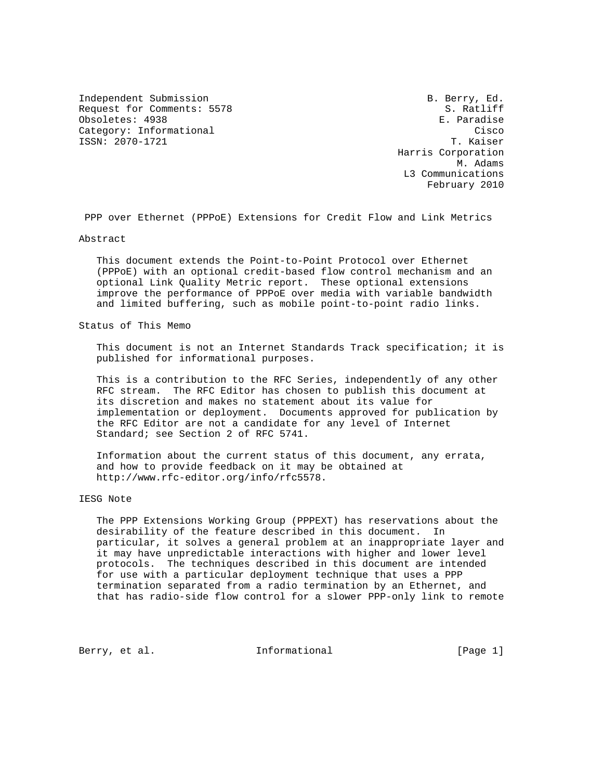Independent Submission **B. Berry, Ed.** Request for Comments: 5578 S. Ratliff Obsoletes: 4938 **E. Paradise** Category: Informational Cisco Category: Category: Cisco ISSN: 2070-1721 T. Kaiser

 Harris Corporation M. Adams L3 Communications February 2010

PPP over Ethernet (PPPoE) Extensions for Credit Flow and Link Metrics

Abstract

 This document extends the Point-to-Point Protocol over Ethernet (PPPoE) with an optional credit-based flow control mechanism and an optional Link Quality Metric report. These optional extensions improve the performance of PPPoE over media with variable bandwidth and limited buffering, such as mobile point-to-point radio links.

Status of This Memo

 This document is not an Internet Standards Track specification; it is published for informational purposes.

 This is a contribution to the RFC Series, independently of any other RFC stream. The RFC Editor has chosen to publish this document at its discretion and makes no statement about its value for implementation or deployment. Documents approved for publication by the RFC Editor are not a candidate for any level of Internet Standard; see Section 2 of RFC 5741.

 Information about the current status of this document, any errata, and how to provide feedback on it may be obtained at http://www.rfc-editor.org/info/rfc5578.

IESG Note

 The PPP Extensions Working Group (PPPEXT) has reservations about the desirability of the feature described in this document. In particular, it solves a general problem at an inappropriate layer and it may have unpredictable interactions with higher and lower level protocols. The techniques described in this document are intended for use with a particular deployment technique that uses a PPP termination separated from a radio termination by an Ethernet, and that has radio-side flow control for a slower PPP-only link to remote

Berry, et al. 1nformational [Page 1]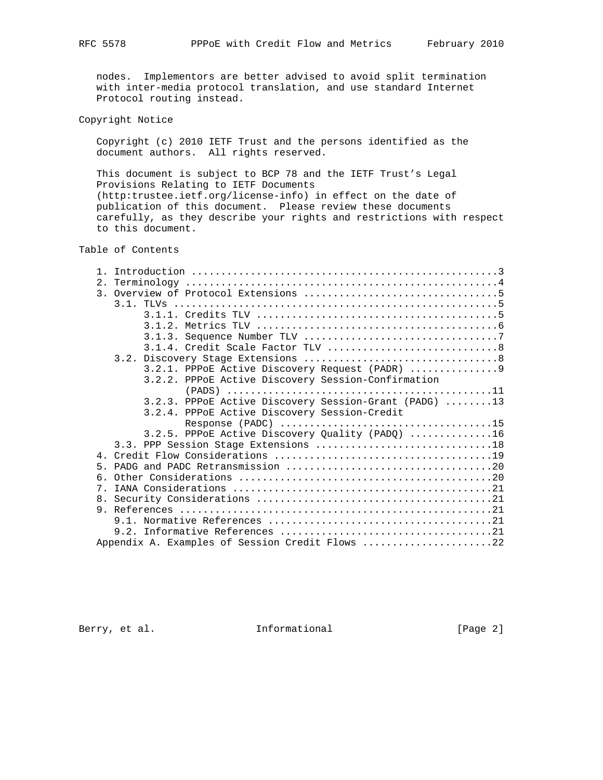nodes. Implementors are better advised to avoid split termination with inter-media protocol translation, and use standard Internet Protocol routing instead.

Copyright Notice

 Copyright (c) 2010 IETF Trust and the persons identified as the document authors. All rights reserved.

 This document is subject to BCP 78 and the IETF Trust's Legal Provisions Relating to IETF Documents (http:trustee.ietf.org/license-info) in effect on the date of publication of this document. Please review these documents carefully, as they describe your rights and restrictions with respect to this document.

## Table of Contents

|   | 3.2.1. PPPOE Active Discovery Request (PADR) 9        |
|---|-------------------------------------------------------|
|   | 3.2.2. PPPoE Active Discovery Session-Confirmation    |
|   |                                                       |
|   | 3.2.3. PPPoE Active Discovery Session-Grant (PADG) 13 |
|   | 3.2.4. PPPOE Active Discovery Session-Credit          |
|   |                                                       |
|   | 3.2.5. PPPoE Active Discovery Quality (PADQ) 16       |
|   |                                                       |
|   |                                                       |
| 5 |                                                       |
|   |                                                       |
| 7 |                                                       |
|   |                                                       |
|   |                                                       |
|   |                                                       |
|   |                                                       |
|   | Appendix A. Examples of Session Credit Flows 22       |

Berry, et al. 1nformational [Page 2]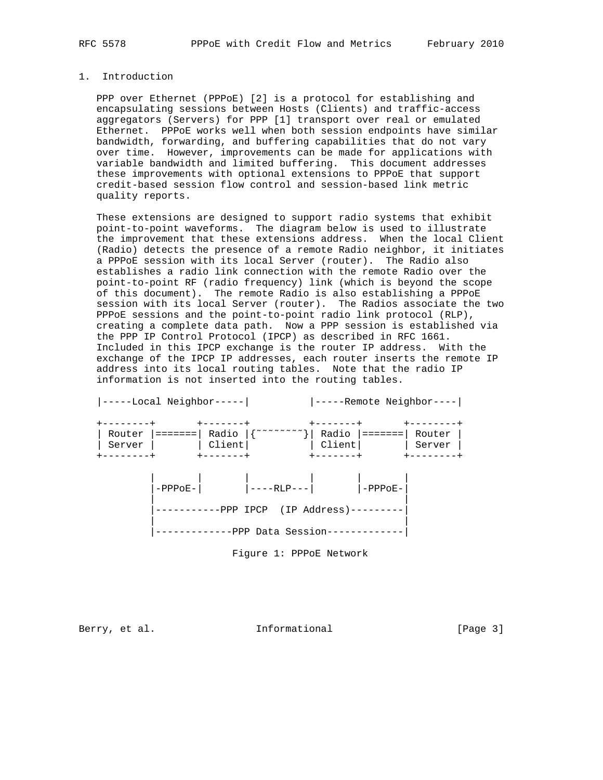### 1. Introduction

 PPP over Ethernet (PPPoE) [2] is a protocol for establishing and encapsulating sessions between Hosts (Clients) and traffic-access aggregators (Servers) for PPP [1] transport over real or emulated Ethernet. PPPoE works well when both session endpoints have similar bandwidth, forwarding, and buffering capabilities that do not vary over time. However, improvements can be made for applications with variable bandwidth and limited buffering. This document addresses these improvements with optional extensions to PPPoE that support credit-based session flow control and session-based link metric quality reports.

 These extensions are designed to support radio systems that exhibit point-to-point waveforms. The diagram below is used to illustrate the improvement that these extensions address. When the local Client (Radio) detects the presence of a remote Radio neighbor, it initiates a PPPoE session with its local Server (router). The Radio also establishes a radio link connection with the remote Radio over the point-to-point RF (radio frequency) link (which is beyond the scope of this document). The remote Radio is also establishing a PPPoE session with its local Server (router). The Radios associate the two PPPoE sessions and the point-to-point radio link protocol (RLP), creating a complete data path. Now a PPP session is established via the PPP IP Control Protocol (IPCP) as described in RFC 1661. Included in this IPCP exchange is the router IP address. With the exchange of the IPCP IP addresses, each router inserts the remote IP address into its local routing tables. Note that the radio IP information is not inserted into the routing tables.

|                     | -----Local Neighbor----- |                                                           |                            | -----Remote Neighbor----          |                             |
|---------------------|--------------------------|-----------------------------------------------------------|----------------------------|-----------------------------------|-----------------------------|
| --------+<br>Server | Router $ ==== = $        | -------+<br>Radio  {~~~~~~~~~}  Radio  ======= <br>Client | $+ - - - - - - -$          | Client                            | -------<br>Router<br>Server |
| $- - - - - - - +$   |                          | $+ - - - - - - +$                                         | $+ - - - - - - +$          |                                   | -------                     |
|                     | $-PPPOE-$                |                                                           | $\vert$ ----RLP--- $\vert$ | $ $ -PPPoE-                       |                             |
|                     |                          |                                                           |                            | $-PPP$ IPCP (IP Address)--------- |                             |
|                     |                          | ---------PPP Data Session-----------                      |                            |                                   |                             |

Figure 1: PPPoE Network

Berry, et al. 1nformational [Page 3]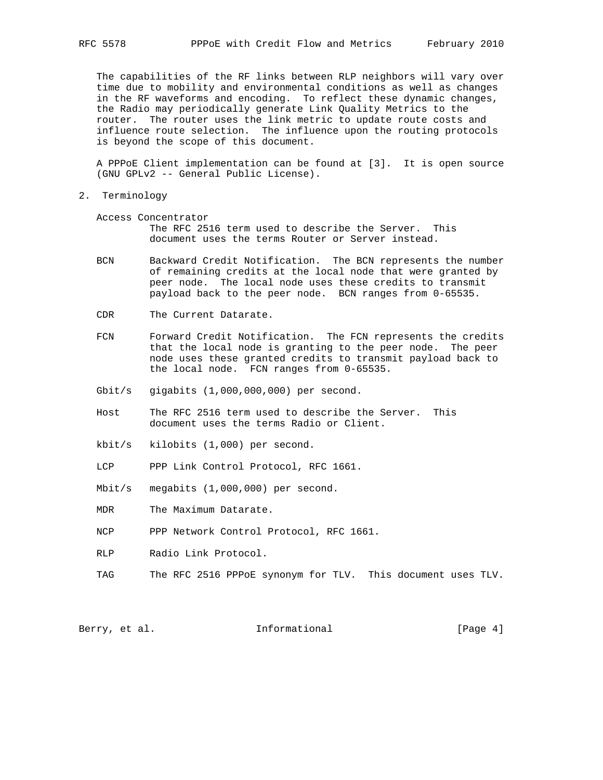The capabilities of the RF links between RLP neighbors will vary over time due to mobility and environmental conditions as well as changes in the RF waveforms and encoding. To reflect these dynamic changes, the Radio may periodically generate Link Quality Metrics to the router. The router uses the link metric to update route costs and influence route selection. The influence upon the routing protocols is beyond the scope of this document.

 A PPPoE Client implementation can be found at [3]. It is open source (GNU GPLv2 -- General Public License).

2. Terminology

 Access Concentrator The RFC 2516 term used to describe the Server. This document uses the terms Router or Server instead.

- BCN Backward Credit Notification. The BCN represents the number of remaining credits at the local node that were granted by peer node. The local node uses these credits to transmit payload back to the peer node. BCN ranges from 0-65535.
- CDR The Current Datarate.
- FCN Forward Credit Notification. The FCN represents the credits that the local node is granting to the peer node. The peer node uses these granted credits to transmit payload back to the local node. FCN ranges from 0-65535.
- Gbit/s gigabits (1,000,000,000) per second.
- Host The RFC 2516 term used to describe the Server. This document uses the terms Radio or Client.
- kbit/s kilobits (1,000) per second.
- LCP PPP Link Control Protocol, RFC 1661.
- Mbit/s megabits (1,000,000) per second.
- MDR The Maximum Datarate.
- NCP PPP Network Control Protocol, RFC 1661.
- RLP Radio Link Protocol.
- TAG The RFC 2516 PPPoE synonym for TLV. This document uses TLV.

Berry, et al.  $\qquad \qquad$  Informational [Page 4]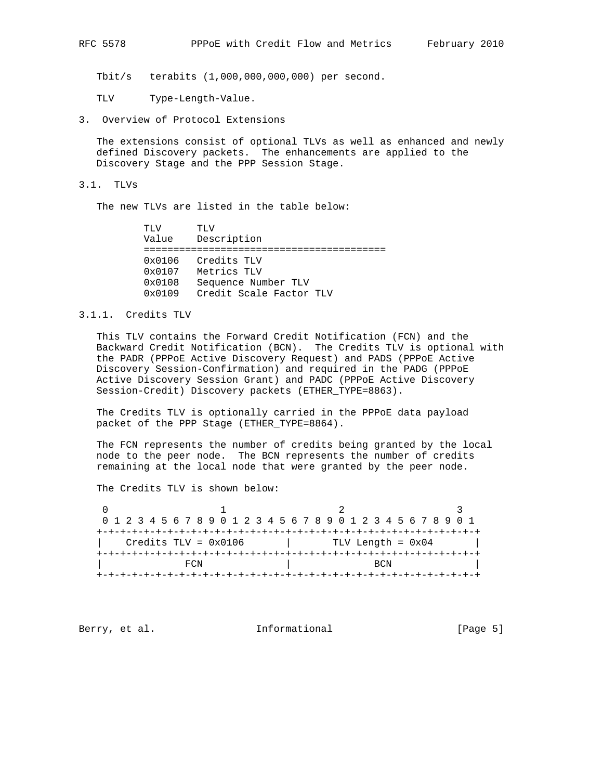Tbit/s terabits (1,000,000,000,000) per second.

TLV Type-Length-Value.

3. Overview of Protocol Extensions

 The extensions consist of optional TLVs as well as enhanced and newly defined Discovery packets. The enhancements are applied to the Discovery Stage and the PPP Session Stage.

3.1. TLVs

The new TLVs are listed in the table below:

 TLV TLV Value Description ========================================= 0x0106 Credits TLV 0x0107 Metrics TLV 0x0108 Sequence Number TLV 0x0109 Credit Scale Factor TLV

#### 3.1.1. Credits TLV

 This TLV contains the Forward Credit Notification (FCN) and the Backward Credit Notification (BCN). The Credits TLV is optional with the PADR (PPPoE Active Discovery Request) and PADS (PPPoE Active Discovery Session-Confirmation) and required in the PADG (PPPoE Active Discovery Session Grant) and PADC (PPPoE Active Discovery Session-Credit) Discovery packets (ETHER\_TYPE=8863).

 The Credits TLV is optionally carried in the PPPoE data payload packet of the PPP Stage (ETHER\_TYPE=8864).

 The FCN represents the number of credits being granted by the local node to the peer node. The BCN represents the number of credits remaining at the local node that were granted by the peer node.

The Credits TLV is shown below:

0  $1$  2 3 0 1 2 3 4 5 6 7 8 9 0 1 2 3 4 5 6 7 8 9 0 1 2 3 4 5 6 7 8 9 0 1 +-+-+-+-+-+-+-+-+-+-+-+-+-+-+-+-+-+-+-+-+-+-+-+-+-+-+-+-+-+-+-+-+ | Credits TLV = 0x0106 | TLV Length = 0x04 | +-+-+-+-+-+-+-+-+-+-+-+-+-+-+-+-+-+-+-+-+-+-+-+-+-+-+-+-+-+-+-+-+ | FCN | BCN +-+-+-+-+-+-+-+-+-+-+-+-+-+-+-+-+-+-+-+-+-+-+-+-+-+-+-+-+-+-+-+-+

Berry, et al. 10 Informational 1999 [Page 5]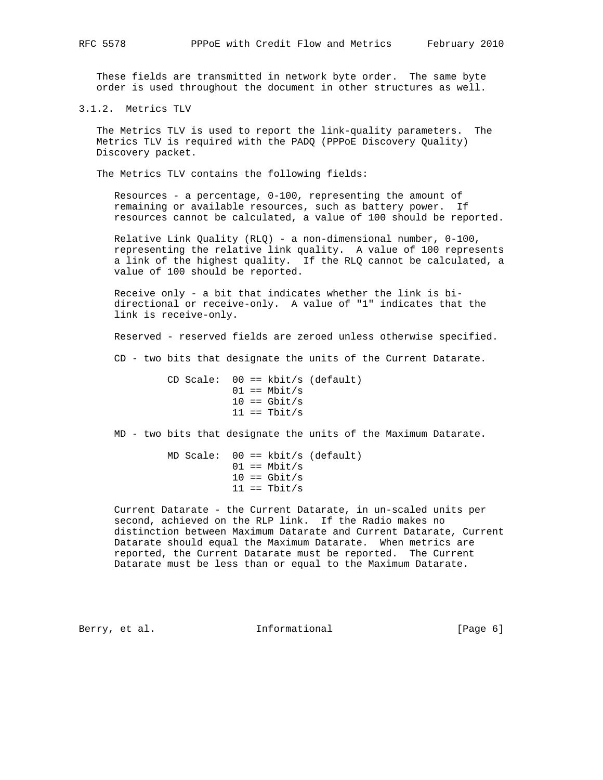These fields are transmitted in network byte order. The same byte order is used throughout the document in other structures as well.

3.1.2. Metrics TLV

 The Metrics TLV is used to report the link-quality parameters. The Metrics TLV is required with the PADQ (PPPoE Discovery Quality) Discovery packet.

The Metrics TLV contains the following fields:

 Resources - a percentage, 0-100, representing the amount of remaining or available resources, such as battery power. If resources cannot be calculated, a value of 100 should be reported.

 Relative Link Quality (RLQ) - a non-dimensional number, 0-100, representing the relative link quality. A value of 100 represents a link of the highest quality. If the RLQ cannot be calculated, a value of 100 should be reported.

 Receive only - a bit that indicates whether the link is bi directional or receive-only. A value of "1" indicates that the link is receive-only.

Reserved - reserved fields are zeroed unless otherwise specified.

CD - two bits that designate the units of the Current Datarate.

 CD Scale: 00 == kbit/s (default)  $01 == Mbit/s$  $10 == 6bit/s$  $11 == \text{Thit/s}$ 

MD - two bits that designate the units of the Maximum Datarate.

 MD Scale: 00 == kbit/s (default)  $01 == Mbit/s$  $10 == 6bit/s$  $11 == \text{Tbit/s}$ 

 Current Datarate - the Current Datarate, in un-scaled units per second, achieved on the RLP link. If the Radio makes no distinction between Maximum Datarate and Current Datarate, Current Datarate should equal the Maximum Datarate. When metrics are reported, the Current Datarate must be reported. The Current Datarate must be less than or equal to the Maximum Datarate.

Berry, et al.  $\qquad \qquad$  Informational  $[Page 6]$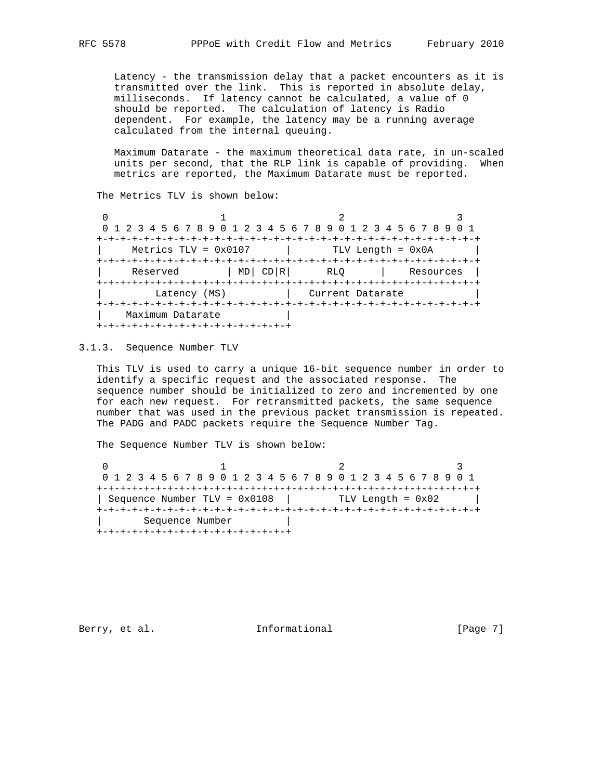Latency - the transmission delay that a packet encounters as it is transmitted over the link. This is reported in absolute delay, milliseconds. If latency cannot be calculated, a value of 0 should be reported. The calculation of latency is Radio dependent. For example, the latency may be a running average calculated from the internal queuing.

 Maximum Datarate - the maximum theoretical data rate, in un-scaled units per second, that the RLP link is capable of providing. When metrics are reported, the Maximum Datarate must be reported.

The Metrics TLV is shown below:

 $\begin{array}{ccc} 0 & 1 & 2 \end{array}$  0 1 2 3 4 5 6 7 8 9 0 1 2 3 4 5 6 7 8 9 0 1 2 3 4 5 6 7 8 9 0 1 +-+-+-+-+-+-+-+-+-+-+-+-+-+-+-+-+-+-+-+-+-+-+-+-+-+-+-+-+-+-+-+-+ Metrics TLV = 0x0107 | TLV Length = 0x0A +-+-+-+-+-+-+-+-+-+-+-+-+-+-+-+-+-+-+-+-+-+-+-+-+-+-+-+-+-+-+-+-+ | Reserved | MD| CD|R| RLQ | Resources | +-+-+-+-+-+-+-+-+-+-+-+-+-+-+-+-+-+-+-+-+-+-+-+-+-+-+-+-+-+-+-+-+ Latency (MS) | Current Datarate +-+-+-+-+-+-+-+-+-+-+-+-+-+-+-+-+-+-+-+-+-+-+-+-+-+-+-+-+-+-+-+-+ | Maximum Datarate +-+-+-+-+-+-+-+-+-+-+-+-+-+-+-+-+

3.1.3. Sequence Number TLV

 This TLV is used to carry a unique 16-bit sequence number in order to identify a specific request and the associated response. The sequence number should be initialized to zero and incremented by one for each new request. For retransmitted packets, the same sequence number that was used in the previous packet transmission is repeated. The PADG and PADC packets require the Sequence Number Tag.

The Sequence Number TLV is shown below:

0  $1$  2 3 0 1 2 3 4 5 6 7 8 9 0 1 2 3 4 5 6 7 8 9 0 1 2 3 4 5 6 7 8 9 0 1 +-+-+-+-+-+-+-+-+-+-+-+-+-+-+-+-+-+-+-+-+-+-+-+-+-+-+-+-+-+-+-+-+ | Sequence Number TLV = 0x0108 | TLV Length = 0x02 | +-+-+-+-+-+-+-+-+-+-+-+-+-+-+-+-+-+-+-+-+-+-+-+-+-+-+-+-+-+-+-+-+ | Sequence Number | +-+-+-+-+-+-+-+-+-+-+-+-+-+-+-+-+

Berry, et al. 1nformational 1999 [Page 7]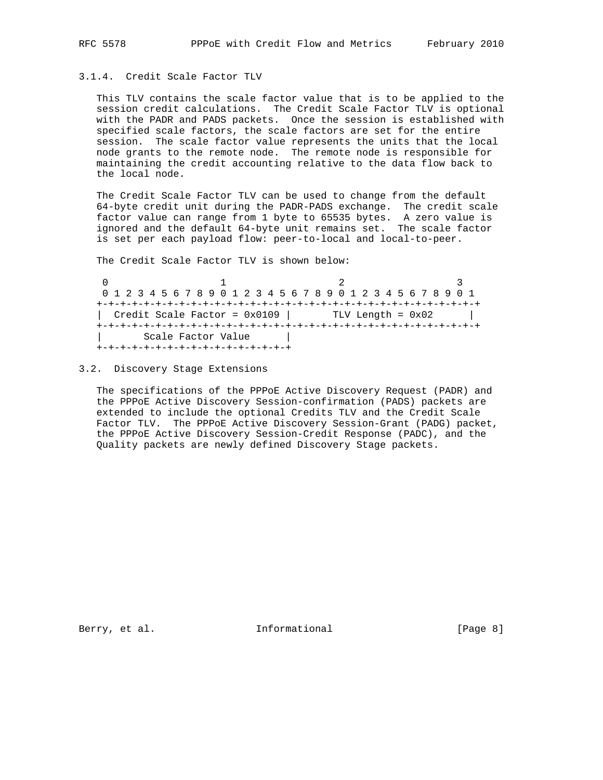## 3.1.4. Credit Scale Factor TLV

 This TLV contains the scale factor value that is to be applied to the session credit calculations. The Credit Scale Factor TLV is optional with the PADR and PADS packets. Once the session is established with specified scale factors, the scale factors are set for the entire session. The scale factor value represents the units that the local node grants to the remote node. The remote node is responsible for maintaining the credit accounting relative to the data flow back to the local node.

 The Credit Scale Factor TLV can be used to change from the default 64-byte credit unit during the PADR-PADS exchange. The credit scale factor value can range from 1 byte to 65535 bytes. A zero value is ignored and the default 64-byte unit remains set. The scale factor is set per each payload flow: peer-to-local and local-to-peer.

The Credit Scale Factor TLV is shown below:

0  $1$  2 3 0 1 2 3 4 5 6 7 8 9 0 1 2 3 4 5 6 7 8 9 0 1 2 3 4 5 6 7 8 9 0 1 +-+-+-+-+-+-+-+-+-+-+-+-+-+-+-+-+-+-+-+-+-+-+-+-+-+-+-+-+-+-+-+-+ | Credit Scale Factor =  $0x0109$  | TLV Length =  $0x02$  | +-+-+-+-+-+-+-+-+-+-+-+-+-+-+-+-+-+-+-+-+-+-+-+-+-+-+-+-+-+-+-+-+ | Scale Factor Value | +-+-+-+-+-+-+-+-+-+-+-+-+-+-+-+-+

#### 3.2. Discovery Stage Extensions

 The specifications of the PPPoE Active Discovery Request (PADR) and the PPPoE Active Discovery Session-confirmation (PADS) packets are extended to include the optional Credits TLV and the Credit Scale Factor TLV. The PPPoE Active Discovery Session-Grant (PADG) packet, the PPPoE Active Discovery Session-Credit Response (PADC), and the Quality packets are newly defined Discovery Stage packets.

Berry, et al. 1nformational [Page 8]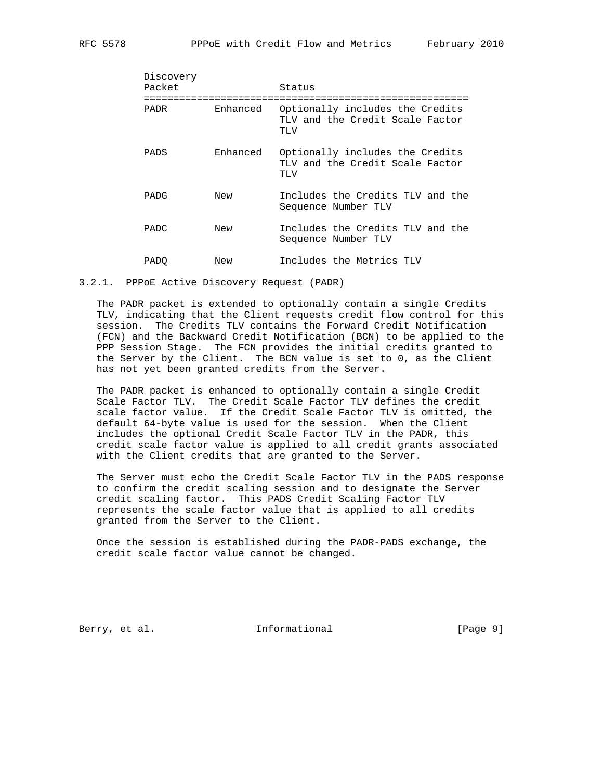| Discovery<br>Packet |          | Status                                                                    |
|---------------------|----------|---------------------------------------------------------------------------|
| PADR                | Enhanced | Optionally includes the Credits<br>TLV and the Credit Scale Factor<br>TLV |
| PADS                | Enhanced | Optionally includes the Credits<br>TLV and the Credit Scale Factor<br>TLV |
| PADG                | New      | Includes the Credits TLV and the<br>Sequence Number TLV                   |
| <b>PADC</b>         | New      | Includes the Credits TLV and the<br>Sequence Number TLV                   |
| PADO                | New      | Includes the Metrics TLV                                                  |

#### 3.2.1. PPPoE Active Discovery Request (PADR)

 The PADR packet is extended to optionally contain a single Credits TLV, indicating that the Client requests credit flow control for this session. The Credits TLV contains the Forward Credit Notification (FCN) and the Backward Credit Notification (BCN) to be applied to the PPP Session Stage. The FCN provides the initial credits granted to the Server by the Client. The BCN value is set to 0, as the Client has not yet been granted credits from the Server.

 The PADR packet is enhanced to optionally contain a single Credit Scale Factor TLV. The Credit Scale Factor TLV defines the credit scale factor value. If the Credit Scale Factor TLV is omitted, the default 64-byte value is used for the session. When the Client includes the optional Credit Scale Factor TLV in the PADR, this credit scale factor value is applied to all credit grants associated with the Client credits that are granted to the Server.

 The Server must echo the Credit Scale Factor TLV in the PADS response to confirm the credit scaling session and to designate the Server credit scaling factor. This PADS Credit Scaling Factor TLV represents the scale factor value that is applied to all credits granted from the Server to the Client.

 Once the session is established during the PADR-PADS exchange, the credit scale factor value cannot be changed.

Berry, et al. 1nformational [Page 9]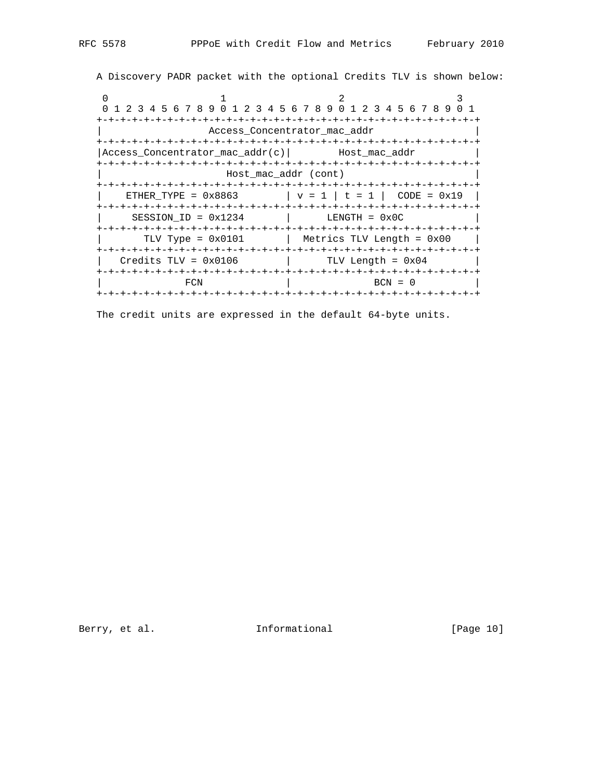A Discovery PADR packet with the optional Credits TLV is shown below:

0  $1$  2 3 0 1 2 3 4 5 6 7 8 9 0 1 2 3 4 5 6 7 8 9 0 1 2 3 4 5 6 7 8 9 0 1 +-+-+-+-+-+-+-+-+-+-+-+-+-+-+-+-+-+-+-+-+-+-+-+-+-+-+-+-+-+-+-+-+ | Access\_Concentrator\_mac\_addr | +-+-+-+-+-+-+-+-+-+-+-+-+-+-+-+-+-+-+-+-+-+-+-+-+-+-+-+-+-+-+-+-+ |Access\_Concentrator\_mac\_addr(c)| Host\_mac\_addr | +-+-+-+-+-+-+-+-+-+-+-+-+-+-+-+-+-+-+-+-+-+-+-+-+-+-+-+-+-+-+-+-+ | Host\_mac\_addr (cont) | +-+-+-+-+-+-+-+-+-+-+-+-+-+-+-+-+-+-+-+-+-+-+-+-+-+-+-+-+-+-+-+-+  $ETHER_TYPE = 0x8863$   $| v = 1 | t = 1 | CODE = 0x19$  +-+-+-+-+-+-+-+-+-+-+-+-+-+-+-+-+-+-+-+-+-+-+-+-+-+-+-+-+-+-+-+-+  $SESSION\_ID = 0x1234$   $|$  LENGTH =  $0x0C$  +-+-+-+-+-+-+-+-+-+-+-+-+-+-+-+-+-+-+-+-+-+-+-+-+-+-+-+-+-+-+-+-+ | TLV Type = 0x0101 | Metrics TLV Length = 0x00 | +-+-+-+-+-+-+-+-+-+-+-+-+-+-+-+-+-+-+-+-+-+-+-+-+-+-+-+-+-+-+-+-+ | Credits TLV = 0x0106 | TLV Length = 0x04 | +-+-+-+-+-+-+-+-+-+-+-+-+-+-+-+-+-+-+-+-+-+-+-+-+-+-+-+-+-+-+-+-+ | FCN | BCN = 0 | +-+-+-+-+-+-+-+-+-+-+-+-+-+-+-+-+-+-+-+-+-+-+-+-+-+-+-+-+-+-+-+-+

The credit units are expressed in the default 64-byte units.

Berry, et al. 10 Informational [Page 10]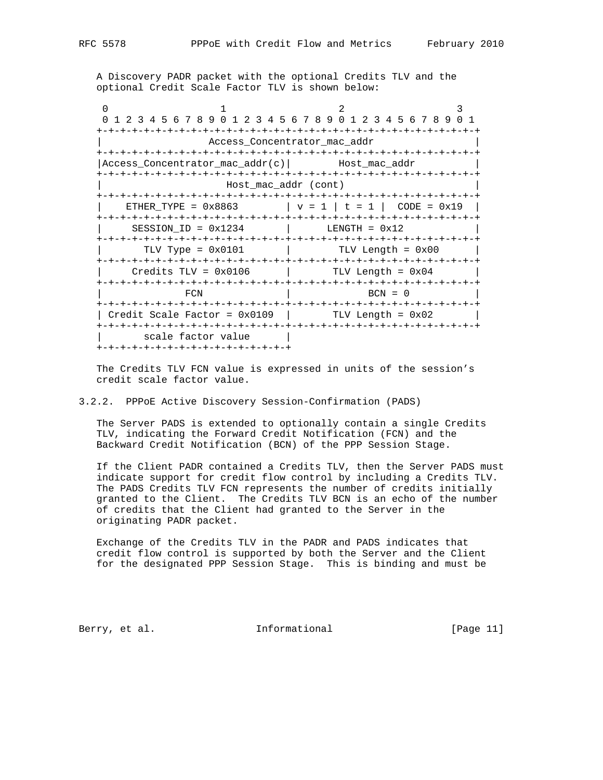A Discovery PADR packet with the optional Credits TLV and the optional Credit Scale Factor TLV is shown below:

0  $1$  2 3 0 1 2 3 4 5 6 7 8 9 0 1 2 3 4 5 6 7 8 9 0 1 2 3 4 5 6 7 8 9 0 1 +-+-+-+-+-+-+-+-+-+-+-+-+-+-+-+-+-+-+-+-+-+-+-+-+-+-+-+-+-+-+-+-+ | Access\_Concentrator\_mac\_addr | +-+-+-+-+-+-+-+-+-+-+-+-+-+-+-+-+-+-+-+-+-+-+-+-+-+-+-+-+-+-+-+-+ |Access\_Concentrator\_mac\_addr(c)| Host\_mac\_addr | +-+-+-+-+-+-+-+-+-+-+-+-+-+-+-+-+-+-+-+-+-+-+-+-+-+-+-+-+-+-+-+-+ | Host\_mac\_addr (cont) | +-+-+-+-+-+-+-+-+-+-+-+-+-+-+-+-+-+-+-+-+-+-+-+-+-+-+-+-+-+-+-+-+ | ETHER\_TYPE =  $0 \times 8863$  | v = 1 | t = 1 | CODE =  $0 \times 19$  | +-+-+-+-+-+-+-+-+-+-+-+-+-+-+-+-+-+-+-+-+-+-+-+-+-+-+-+-+-+-+-+-+  $SESSION\_ID = 0x1234$  | LENGTH =  $0x12$  +-+-+-+-+-+-+-+-+-+-+-+-+-+-+-+-+-+-+-+-+-+-+-+-+-+-+-+-+-+-+-+-+  $TLV$  Type =  $0x0101$  | TLV Length =  $0x00$  | +-+-+-+-+-+-+-+-+-+-+-+-+-+-+-+-+-+-+-+-+-+-+-+-+-+-+-+-+-+-+-+-+  $Credits TLV = 0x0106$  | TLV Length =  $0x04$  | +-+-+-+-+-+-+-+-+-+-+-+-+-+-+-+-+-+-+-+-+-+-+-+-+-+-+-+-+-+-+-+-+  $FCN$  | BCN = 0 +-+-+-+-+-+-+-+-+-+-+-+-+-+-+-+-+-+-+-+-+-+-+-+-+-+-+-+-+-+-+-+-+ | Credit Scale Factor =  $0x0109$  | TLV Length =  $0x02$  | +-+-+-+-+-+-+-+-+-+-+-+-+-+-+-+-+-+-+-+-+-+-+-+-+-+-+-+-+-+-+-+-+ | scale factor value | +-+-+-+-+-+-+-+-+-+-+-+-+-+-+-+-+

 The Credits TLV FCN value is expressed in units of the session's credit scale factor value.

#### 3.2.2. PPPoE Active Discovery Session-Confirmation (PADS)

 The Server PADS is extended to optionally contain a single Credits TLV, indicating the Forward Credit Notification (FCN) and the Backward Credit Notification (BCN) of the PPP Session Stage.

 If the Client PADR contained a Credits TLV, then the Server PADS must indicate support for credit flow control by including a Credits TLV. The PADS Credits TLV FCN represents the number of credits initially granted to the Client. The Credits TLV BCN is an echo of the number of credits that the Client had granted to the Server in the originating PADR packet.

 Exchange of the Credits TLV in the PADR and PADS indicates that credit flow control is supported by both the Server and the Client for the designated PPP Session Stage. This is binding and must be

Berry, et al. 10 1nformational [Page 11]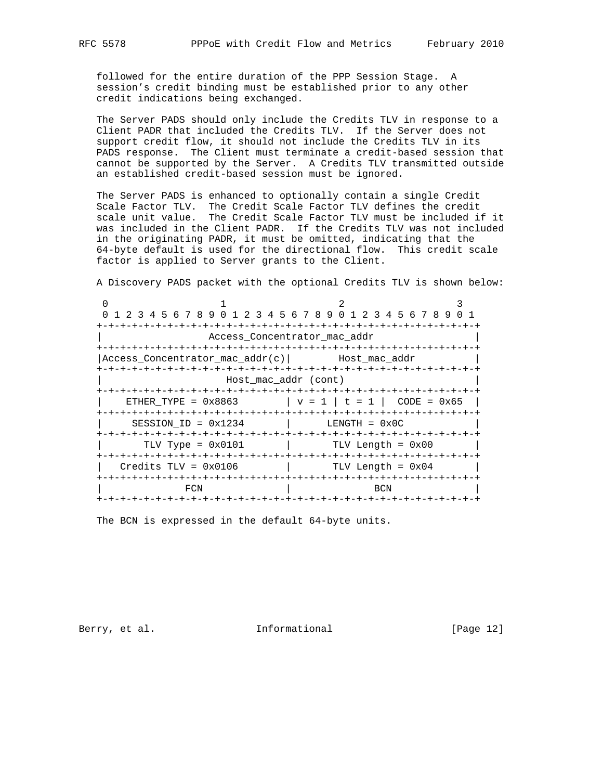followed for the entire duration of the PPP Session Stage. A session's credit binding must be established prior to any other credit indications being exchanged.

 The Server PADS should only include the Credits TLV in response to a Client PADR that included the Credits TLV. If the Server does not support credit flow, it should not include the Credits TLV in its PADS response. The Client must terminate a credit-based session that cannot be supported by the Server. A Credits TLV transmitted outside an established credit-based session must be ignored.

 The Server PADS is enhanced to optionally contain a single Credit Scale Factor TLV. The Credit Scale Factor TLV defines the credit scale unit value. The Credit Scale Factor TLV must be included if it was included in the Client PADR. If the Credits TLV was not included in the originating PADR, it must be omitted, indicating that the 64-byte default is used for the directional flow. This credit scale factor is applied to Server grants to the Client.

A Discovery PADS packet with the optional Credits TLV is shown below:

|                                 | 0 1 2 3 4 5 6 7 8 9 0 1 2 3 4 5 6 7 8 9 0 1 2 3 4 5 6 7 8 9 0 1 |  |
|---------------------------------|-----------------------------------------------------------------|--|
|                                 |                                                                 |  |
|                                 | Access Concentrator mac addr                                    |  |
|                                 |                                                                 |  |
| Access Concentrator mac addr(c) | Host mac addr                                                   |  |
|                                 |                                                                 |  |
|                                 | Host mac addr (cont)                                            |  |
|                                 |                                                                 |  |
| ETHER TYPE = $0 \times 8863$    | $ v = 1   t = 1  $<br>$CODE = 0x65$                             |  |
|                                 |                                                                 |  |
| SESSION ID = $0x1234$           | $LENGTH = 0x0C$                                                 |  |
|                                 |                                                                 |  |
| TLV Type = $0 \times 0101$      | TLV Length = 0x00                                               |  |
|                                 |                                                                 |  |
| $Credits TLV = 0x0106$          | $ $ TLV Length = $0x04$                                         |  |
|                                 |                                                                 |  |
| FCN                             | BCN                                                             |  |
|                                 |                                                                 |  |

The BCN is expressed in the default 64-byte units.

Berry, et al. 100 Informational [Page 12]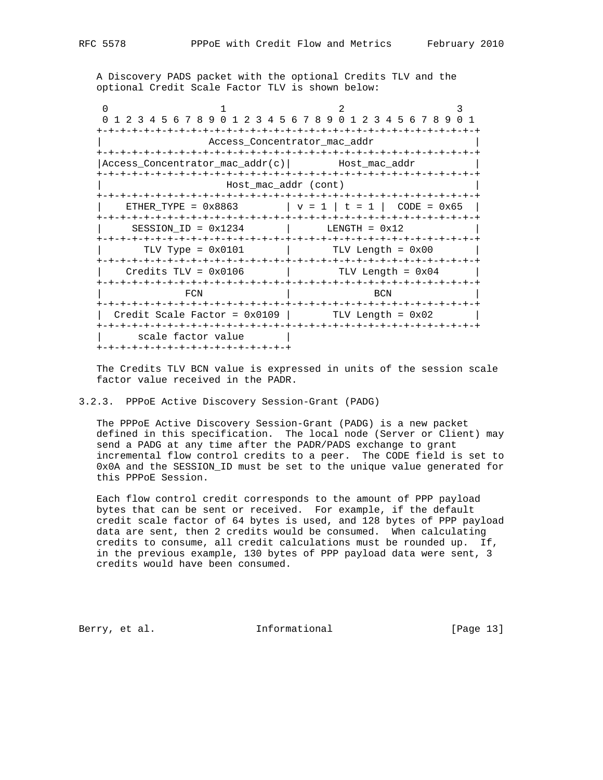A Discovery PADS packet with the optional Credits TLV and the optional Credit Scale Factor TLV is shown below:

0  $1$  2 3 0 1 2 3 4 5 6 7 8 9 0 1 2 3 4 5 6 7 8 9 0 1 2 3 4 5 6 7 8 9 0 1 +-+-+-+-+-+-+-+-+-+-+-+-+-+-+-+-+-+-+-+-+-+-+-+-+-+-+-+-+-+-+-+-+ | Access\_Concentrator\_mac\_addr | +-+-+-+-+-+-+-+-+-+-+-+-+-+-+-+-+-+-+-+-+-+-+-+-+-+-+-+-+-+-+-+-+ |Access\_Concentrator\_mac\_addr(c)| Host\_mac\_addr | +-+-+-+-+-+-+-+-+-+-+-+-+-+-+-+-+-+-+-+-+-+-+-+-+-+-+-+-+-+-+-+-+ | Host\_mac\_addr (cont) | +-+-+-+-+-+-+-+-+-+-+-+-+-+-+-+-+-+-+-+-+-+-+-+-+-+-+-+-+-+-+-+-+ | ETHER\_TYPE =  $0 \times 8863$  | v = 1 | t = 1 | CODE =  $0 \times 65$  | +-+-+-+-+-+-+-+-+-+-+-+-+-+-+-+-+-+-+-+-+-+-+-+-+-+-+-+-+-+-+-+-+  $SESSION\_ID = 0x1234$  | LENGTH =  $0x12$  +-+-+-+-+-+-+-+-+-+-+-+-+-+-+-+-+-+-+-+-+-+-+-+-+-+-+-+-+-+-+-+-+ | TLV Type = 0x0101 | TLV Length = 0x00 | +-+-+-+-+-+-+-+-+-+-+-+-+-+-+-+-+-+-+-+-+-+-+-+-+-+-+-+-+-+-+-+-+  $Credits TLV = 0x0106$  | TLV Length =  $0x04$  | +-+-+-+-+-+-+-+-+-+-+-+-+-+-+-+-+-+-+-+-+-+-+-+-+-+-+-+-+-+-+-+-+ FCN RCN +-+-+-+-+-+-+-+-+-+-+-+-+-+-+-+-+-+-+-+-+-+-+-+-+-+-+-+-+-+-+-+-+ | Credit Scale Factor =  $0x0109$  | TLV Length =  $0x02$  | +-+-+-+-+-+-+-+-+-+-+-+-+-+-+-+-+-+-+-+-+-+-+-+-+-+-+-+-+-+-+-+-+ | scale factor value | +-+-+-+-+-+-+-+-+-+-+-+-+-+-+-+-+

 The Credits TLV BCN value is expressed in units of the session scale factor value received in the PADR.

#### 3.2.3. PPPoE Active Discovery Session-Grant (PADG)

 The PPPoE Active Discovery Session-Grant (PADG) is a new packet defined in this specification. The local node (Server or Client) may send a PADG at any time after the PADR/PADS exchange to grant incremental flow control credits to a peer. The CODE field is set to 0x0A and the SESSION\_ID must be set to the unique value generated for this PPPoE Session.

 Each flow control credit corresponds to the amount of PPP payload bytes that can be sent or received. For example, if the default credit scale factor of 64 bytes is used, and 128 bytes of PPP payload data are sent, then 2 credits would be consumed. When calculating credits to consume, all credit calculations must be rounded up. If, in the previous example, 130 bytes of PPP payload data were sent, 3 credits would have been consumed.

Berry, et al. 1nformational [Page 13]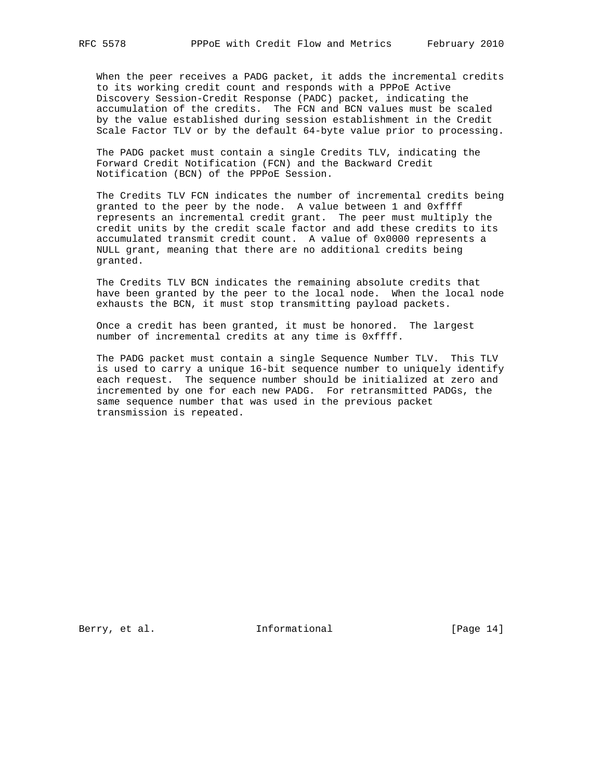When the peer receives a PADG packet, it adds the incremental credits to its working credit count and responds with a PPPoE Active Discovery Session-Credit Response (PADC) packet, indicating the accumulation of the credits. The FCN and BCN values must be scaled by the value established during session establishment in the Credit Scale Factor TLV or by the default 64-byte value prior to processing.

 The PADG packet must contain a single Credits TLV, indicating the Forward Credit Notification (FCN) and the Backward Credit Notification (BCN) of the PPPoE Session.

 The Credits TLV FCN indicates the number of incremental credits being granted to the peer by the node. A value between 1 and 0xffff represents an incremental credit grant. The peer must multiply the credit units by the credit scale factor and add these credits to its accumulated transmit credit count. A value of 0x0000 represents a NULL grant, meaning that there are no additional credits being granted.

 The Credits TLV BCN indicates the remaining absolute credits that have been granted by the peer to the local node. When the local node exhausts the BCN, it must stop transmitting payload packets.

 Once a credit has been granted, it must be honored. The largest number of incremental credits at any time is 0xffff.

 The PADG packet must contain a single Sequence Number TLV. This TLV is used to carry a unique 16-bit sequence number to uniquely identify each request. The sequence number should be initialized at zero and incremented by one for each new PADG. For retransmitted PADGs, the same sequence number that was used in the previous packet transmission is repeated.

Berry, et al. 100 Informational [Page 14]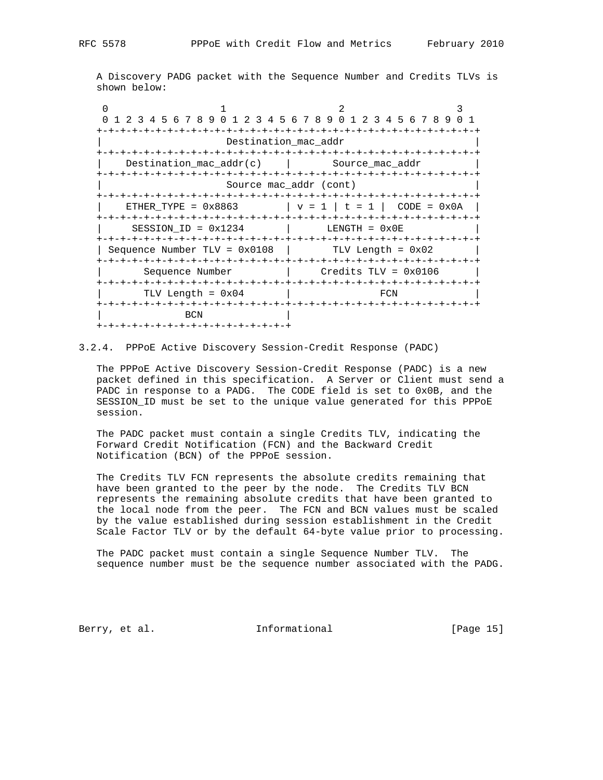A Discovery PADG packet with the Sequence Number and Credits TLVs is shown below:

0  $1$  2 3 0 1 2 3 4 5 6 7 8 9 0 1 2 3 4 5 6 7 8 9 0 1 2 3 4 5 6 7 8 9 0 1 +-+-+-+-+-+-+-+-+-+-+-+-+-+-+-+-+-+-+-+-+-+-+-+-+-+-+-+-+-+-+-+-+ | Destination\_mac\_addr | +-+-+-+-+-+-+-+-+-+-+-+-+-+-+-+-+-+-+-+-+-+-+-+-+-+-+-+-+-+-+-+-+ Destination\_mac\_addr(c) | Source\_mac\_addr +-+-+-+-+-+-+-+-+-+-+-+-+-+-+-+-+-+-+-+-+-+-+-+-+-+-+-+-+-+-+-+-+ Source mac\_addr (cont) +-+-+-+-+-+-+-+-+-+-+-+-+-+-+-+-+-+-+-+-+-+-+-+-+-+-+-+-+-+-+-+-+  $|$  ETHER\_TYPE = 0x8863  $|$  v = 1  $|$  t = 1  $|$  CODE = 0x0A  $|$  +-+-+-+-+-+-+-+-+-+-+-+-+-+-+-+-+-+-+-+-+-+-+-+-+-+-+-+-+-+-+-+-+  $SESSION\_ID = 0x1234$  | LENGTH =  $0x0E$  +-+-+-+-+-+-+-+-+-+-+-+-+-+-+-+-+-+-+-+-+-+-+-+-+-+-+-+-+-+-+-+-+ | Sequence Number TLV = 0x0108 | TLV Length = 0x02 | +-+-+-+-+-+-+-+-+-+-+-+-+-+-+-+-+-+-+-+-+-+-+-+-+-+-+-+-+-+-+-+-+ | Sequence Number | Credits TLV = 0x0106 | +-+-+-+-+-+-+-+-+-+-+-+-+-+-+-+-+-+-+-+-+-+-+-+-+-+-+-+-+-+-+-+-+ | TLV Length = 0x04 | FCN +-+-+-+-+-+-+-+-+-+-+-+-+-+-+-+-+-+-+-+-+-+-+-+-+-+-+-+-+-+-+-+-+ | BCN | +-+-+-+-+-+-+-+-+-+-+-+-+-+-+-+-+

#### 3.2.4. PPPoE Active Discovery Session-Credit Response (PADC)

 The PPPoE Active Discovery Session-Credit Response (PADC) is a new packet defined in this specification. A Server or Client must send a PADC in response to a PADG. The CODE field is set to 0x0B, and the SESSION\_ID must be set to the unique value generated for this PPPoE session.

 The PADC packet must contain a single Credits TLV, indicating the Forward Credit Notification (FCN) and the Backward Credit Notification (BCN) of the PPPoE session.

 The Credits TLV FCN represents the absolute credits remaining that have been granted to the peer by the node. The Credits TLV BCN represents the remaining absolute credits that have been granted to the local node from the peer. The FCN and BCN values must be scaled by the value established during session establishment in the Credit Scale Factor TLV or by the default 64-byte value prior to processing.

 The PADC packet must contain a single Sequence Number TLV. The sequence number must be the sequence number associated with the PADG.

Berry, et al. 10 Informational [Page 15]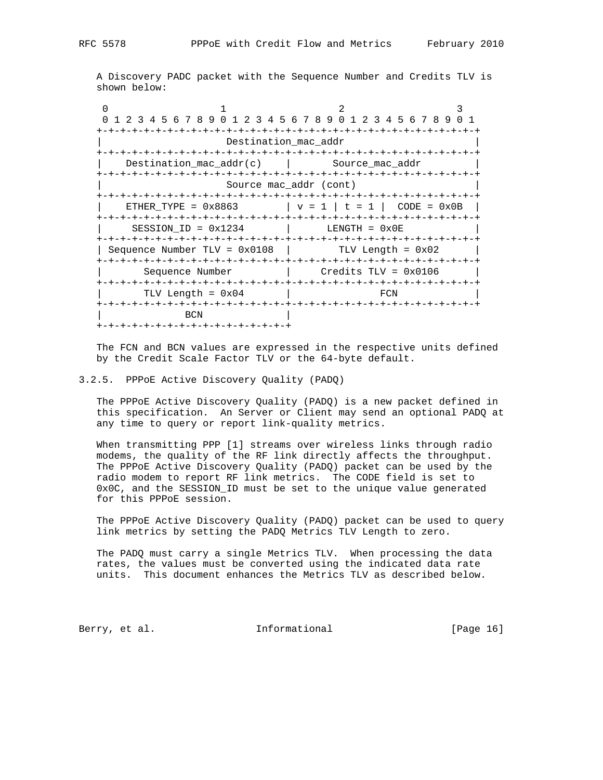A Discovery PADC packet with the Sequence Number and Credits TLV is shown below:

 $\begin{array}{ccccccc}\n0 & & & 1 & & & 2 & & 3\n\end{array}$  0 1 2 3 4 5 6 7 8 9 0 1 2 3 4 5 6 7 8 9 0 1 2 3 4 5 6 7 8 9 0 1 +-+-+-+-+-+-+-+-+-+-+-+-+-+-+-+-+-+-+-+-+-+-+-+-+-+-+-+-+-+-+-+-+ | Destination\_mac\_addr | +-+-+-+-+-+-+-+-+-+-+-+-+-+-+-+-+-+-+-+-+-+-+-+-+-+-+-+-+-+-+-+-+ Destination\_mac\_addr(c) | Source\_mac\_addr +-+-+-+-+-+-+-+-+-+-+-+-+-+-+-+-+-+-+-+-+-+-+-+-+-+-+-+-+-+-+-+-+ Source mac\_addr (cont) +-+-+-+-+-+-+-+-+-+-+-+-+-+-+-+-+-+-+-+-+-+-+-+-+-+-+-+-+-+-+-+-+  $\vert$  ETHER\_TYPE = 0x8863  $\vert$  v = 1  $\vert$  t = 1  $\vert$  CODE = 0x0B  $\vert$  +-+-+-+-+-+-+-+-+-+-+-+-+-+-+-+-+-+-+-+-+-+-+-+-+-+-+-+-+-+-+-+-+  $SESSION\_ID = 0x1234$   $|$  LENGTH =  $0x0E$  +-+-+-+-+-+-+-+-+-+-+-+-+-+-+-+-+-+-+-+-+-+-+-+-+-+-+-+-+-+-+-+-+ | Sequence Number TLV = 0x0108 | TLV Length = 0x02 | +-+-+-+-+-+-+-+-+-+-+-+-+-+-+-+-+-+-+-+-+-+-+-+-+-+-+-+-+-+-+-+-+ | Sequence Number | Credits TLV = 0x0106 | +-+-+-+-+-+-+-+-+-+-+-+-+-+-+-+-+-+-+-+-+-+-+-+-+-+-+-+-+-+-+-+-+ | TLV Length =  $0x04$  | FCN +-+-+-+-+-+-+-+-+-+-+-+-+-+-+-+-+-+-+-+-+-+-+-+-+-+-+-+-+-+-+-+-+ | BCN | +-+-+-+-+-+-+-+-+-+-+-+-+-+-+-+-+

 The FCN and BCN values are expressed in the respective units defined by the Credit Scale Factor TLV or the 64-byte default.

#### 3.2.5. PPPoE Active Discovery Quality (PADQ)

 The PPPoE Active Discovery Quality (PADQ) is a new packet defined in this specification. An Server or Client may send an optional PADQ at any time to query or report link-quality metrics.

When transmitting PPP [1] streams over wireless links through radio modems, the quality of the RF link directly affects the throughput. The PPPoE Active Discovery Quality (PADQ) packet can be used by the radio modem to report RF link metrics. The CODE field is set to 0x0C, and the SESSION\_ID must be set to the unique value generated for this PPPoE session.

 The PPPoE Active Discovery Quality (PADQ) packet can be used to query link metrics by setting the PADQ Metrics TLV Length to zero.

 The PADQ must carry a single Metrics TLV. When processing the data rates, the values must be converted using the indicated data rate units. This document enhances the Metrics TLV as described below.

Berry, et al. 1nformational [Page 16]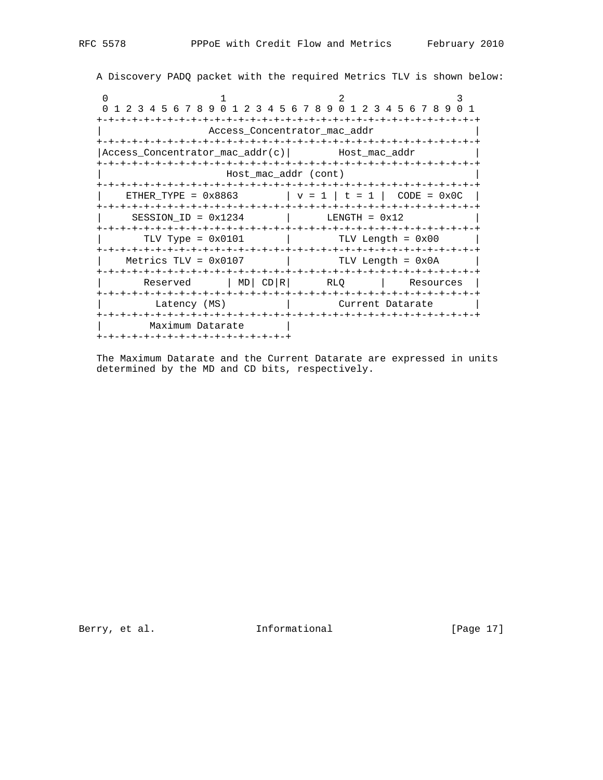A Discovery PADQ packet with the required Metrics TLV is shown below:

0  $1$  2 3 0 1 2 3 4 5 6 7 8 9 0 1 2 3 4 5 6 7 8 9 0 1 2 3 4 5 6 7 8 9 0 1 +-+-+-+-+-+-+-+-+-+-+-+-+-+-+-+-+-+-+-+-+-+-+-+-+-+-+-+-+-+-+-+-+ | Access\_Concentrator\_mac\_addr | +-+-+-+-+-+-+-+-+-+-+-+-+-+-+-+-+-+-+-+-+-+-+-+-+-+-+-+-+-+-+-+-+ |Access\_Concentrator\_mac\_addr(c)| Host\_mac\_addr +-+-+-+-+-+-+-+-+-+-+-+-+-+-+-+-+-+-+-+-+-+-+-+-+-+-+-+-+-+-+-+-+ | Host\_mac\_addr (cont) | +-+-+-+-+-+-+-+-+-+-+-+-+-+-+-+-+-+-+-+-+-+-+-+-+-+-+-+-+-+-+-+-+  $ETHER_TYPE = 0x8863$   $| v = 1 | t = 1 | CODE = 0x0C$  +-+-+-+-+-+-+-+-+-+-+-+-+-+-+-+-+-+-+-+-+-+-+-+-+-+-+-+-+-+-+-+-+ | SESSION\_ID = 0x1234 | LENGTH = 0x12 | +-+-+-+-+-+-+-+-+-+-+-+-+-+-+-+-+-+-+-+-+-+-+-+-+-+-+-+-+-+-+-+-+  $TLV$  Type =  $0x0101$  | TLV Length =  $0x00$  +-+-+-+-+-+-+-+-+-+-+-+-+-+-+-+-+-+-+-+-+-+-+-+-+-+-+-+-+-+-+-+-+  $Metrics TLV = 0x0107$  | TLV Length =  $0x0A$  +-+-+-+-+-+-+-+-+-+-+-+-+-+-+-+-+-+-+-+-+-+-+-+-+-+-+-+-+-+-+-+-+ Reserved | MD| CD|R| RLQ | Resources | +-+-+-+-+-+-+-+-+-+-+-+-+-+-+-+-+-+-+-+-+-+-+-+-+-+-+-+-+-+-+-+-+ Latency (MS) | Current Datarate +-+-+-+-+-+-+-+-+-+-+-+-+-+-+-+-+-+-+-+-+-+-+-+-+-+-+-+-+-+-+-+-+ | Maximum Datarate | +-+-+-+-+-+-+-+-+-+-+-+-+-+-+-+-+

 The Maximum Datarate and the Current Datarate are expressed in units determined by the MD and CD bits, respectively.

Berry, et al. 10 Informational [Page 17]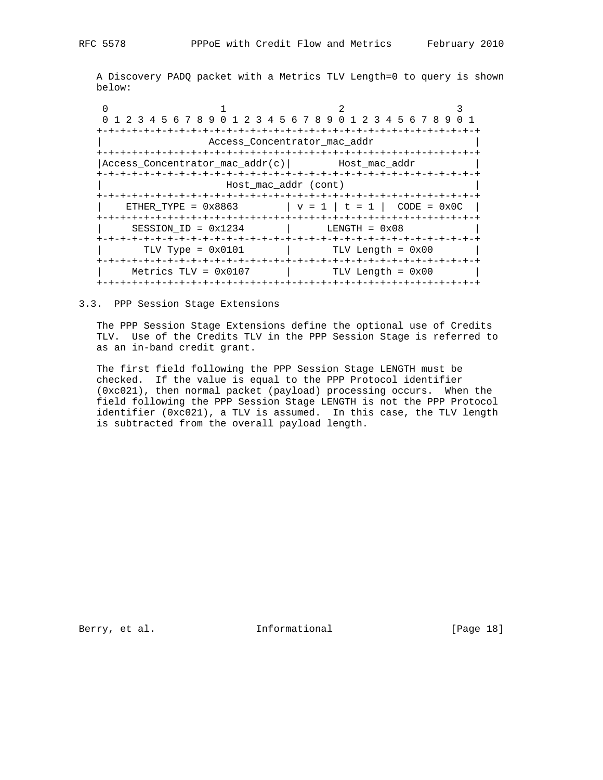A Discovery PADQ packet with a Metrics TLV Length=0 to query is shown below:

| 0 1 2 3 4 5 6 7 8 9 0 1 2 3 4 5 6 7 8 9 0 1 2 3 4 5 6 7 8 9 0 1                                                                                                                                                                                                                                                                |                      |                              |                             |  |
|--------------------------------------------------------------------------------------------------------------------------------------------------------------------------------------------------------------------------------------------------------------------------------------------------------------------------------|----------------------|------------------------------|-----------------------------|--|
|                                                                                                                                                                                                                                                                                                                                |                      |                              |                             |  |
|                                                                                                                                                                                                                                                                                                                                |                      | Access Concentrator mac addr |                             |  |
|                                                                                                                                                                                                                                                                                                                                |                      |                              |                             |  |
| Access Concentrator mac $addr(c)$ Host mac $addr$                                                                                                                                                                                                                                                                              |                      |                              |                             |  |
| --+-+-+-+-+-+-+-+-+                                                                                                                                                                                                                                                                                                            |                      |                              | -+-+-+-+-+-+-+-+-+-+-+-+-+- |  |
|                                                                                                                                                                                                                                                                                                                                | Host mac addr (cont) |                              |                             |  |
|                                                                                                                                                                                                                                                                                                                                |                      |                              |                             |  |
| ETHER_TYPE = $0x8863$ $\qquad$ $\qquad$ $\qquad$ $\qquad$ $\qquad$ $\qquad$ $\qquad$ $\qquad$ $\qquad$ $\qquad$ $\qquad$ $\qquad$ $\qquad$ $\qquad$ $\qquad$ $\qquad$ $\qquad$ $\qquad$ $\qquad$ $\qquad$ $\qquad$ $\qquad$ $\qquad$ $\qquad$ $\qquad$ $\qquad$ $\qquad$ $\qquad$ $\qquad$ $\qquad$ $\qquad$ $\qquad$ $\qquad$ |                      |                              |                             |  |
|                                                                                                                                                                                                                                                                                                                                |                      |                              |                             |  |
| SESSION ID = $0x1234$                                                                                                                                                                                                                                                                                                          |                      |                              | $LENGTH = 0x08$             |  |
|                                                                                                                                                                                                                                                                                                                                |                      |                              |                             |  |
| TLV Type = $0 \times 0101$                                                                                                                                                                                                                                                                                                     |                      |                              | $TLV$ Length = $0x00$       |  |
|                                                                                                                                                                                                                                                                                                                                |                      |                              |                             |  |
| Metrics TLV = $0 \times 0107$                                                                                                                                                                                                                                                                                                  |                      |                              | TLV Length = 0x00           |  |
|                                                                                                                                                                                                                                                                                                                                |                      |                              |                             |  |

3.3. PPP Session Stage Extensions

 The PPP Session Stage Extensions define the optional use of Credits TLV. Use of the Credits TLV in the PPP Session Stage is referred to as an in-band credit grant.

 The first field following the PPP Session Stage LENGTH must be checked. If the value is equal to the PPP Protocol identifier (0xc021), then normal packet (payload) processing occurs. When the field following the PPP Session Stage LENGTH is not the PPP Protocol identifier (0xc021), a TLV is assumed. In this case, the TLV length is subtracted from the overall payload length.

Berry, et al. 100 Informational [Page 18]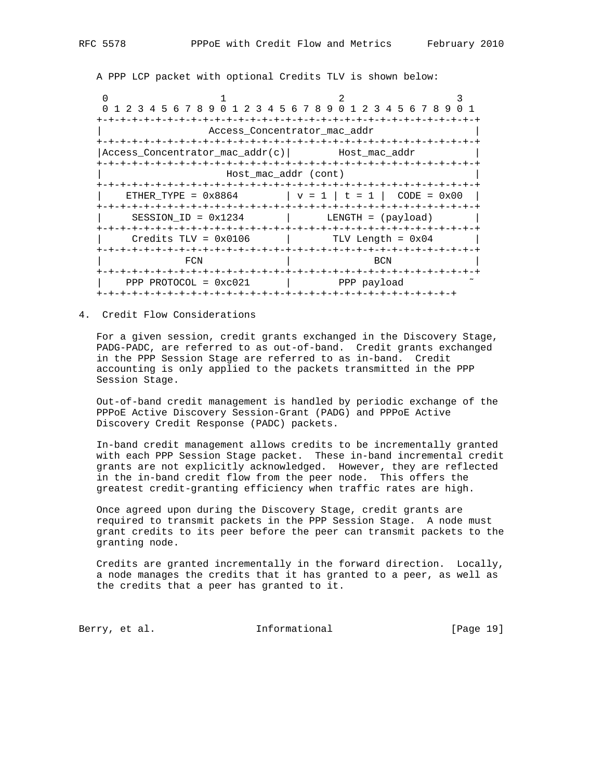A PPP LCP packet with optional Credits TLV is shown below:

0  $1$  2 3 0 1 2 3 4 5 6 7 8 9 0 1 2 3 4 5 6 7 8 9 0 1 2 3 4 5 6 7 8 9 0 1 +-+-+-+-+-+-+-+-+-+-+-+-+-+-+-+-+-+-+-+-+-+-+-+-+-+-+-+-+-+-+-+-+ | Access\_Concentrator\_mac\_addr | +-+-+-+-+-+-+-+-+-+-+-+-+-+-+-+-+-+-+-+-+-+-+-+-+-+-+-+-+-+-+-+-+ |Access\_Concentrator\_mac\_addr(c)| Host\_mac\_addr | +-+-+-+-+-+-+-+-+-+-+-+-+-+-+-+-+-+-+-+-+-+-+-+-+-+-+-+-+-+-+-+-+ | Host\_mac\_addr (cont) | +-+-+-+-+-+-+-+-+-+-+-+-+-+-+-+-+-+-+-+-+-+-+-+-+-+-+-+-+-+-+-+-+  $ETHER_TYPE = 0x8864$   $| v = 1 | t = 1 | CODE = 0x00$  +-+-+-+-+-+-+-+-+-+-+-+-+-+-+-+-+-+-+-+-+-+-+-+-+-+-+-+-+-+-+-+-+  $SESSION\_ID = 0x1234$  | LENGTH = (payload) +-+-+-+-+-+-+-+-+-+-+-+-+-+-+-+-+-+-+-+-+-+-+-+-+-+-+-+-+-+-+-+-+  $Credits TLV = 0x0106$  | TLV Length =  $0x04$  +-+-+-+-+-+-+-+-+-+-+-+-+-+-+-+-+-+-+-+-+-+-+-+-+-+-+-+-+-+-+-+-+ | FCN | BCN | BCN | +-+-+-+-+-+-+-+-+-+-+-+-+-+-+-+-+-+-+-+-+-+-+-+-+-+-+-+-+-+-+-+-+ | PPP PROTOCOL = 0xc021 | PPP payload ˜ +-+-+-+-+-+-+-+-+-+-+-+-+-+-+-+-+-+-+-+-+-+-+-+-+-+-+-+-+-+-+

4. Credit Flow Considerations

 For a given session, credit grants exchanged in the Discovery Stage, PADG-PADC, are referred to as out-of-band. Credit grants exchanged in the PPP Session Stage are referred to as in-band. Credit accounting is only applied to the packets transmitted in the PPP Session Stage.

 Out-of-band credit management is handled by periodic exchange of the PPPoE Active Discovery Session-Grant (PADG) and PPPoE Active Discovery Credit Response (PADC) packets.

 In-band credit management allows credits to be incrementally granted with each PPP Session Stage packet. These in-band incremental credit grants are not explicitly acknowledged. However, they are reflected in the in-band credit flow from the peer node. This offers the greatest credit-granting efficiency when traffic rates are high.

 Once agreed upon during the Discovery Stage, credit grants are required to transmit packets in the PPP Session Stage. A node must grant credits to its peer before the peer can transmit packets to the granting node.

 Credits are granted incrementally in the forward direction. Locally, a node manages the credits that it has granted to a peer, as well as the credits that a peer has granted to it.

Berry, et al. 1nformational [Page 19]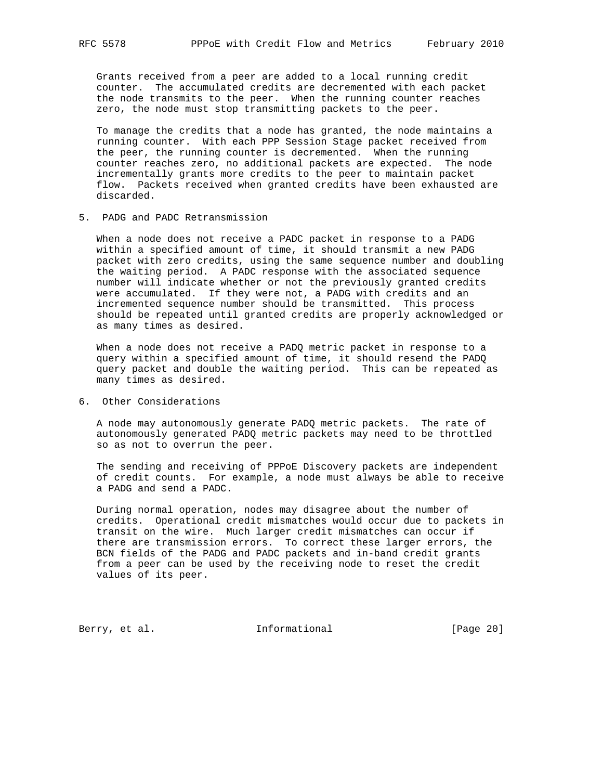Grants received from a peer are added to a local running credit counter. The accumulated credits are decremented with each packet the node transmits to the peer. When the running counter reaches zero, the node must stop transmitting packets to the peer.

 To manage the credits that a node has granted, the node maintains a running counter. With each PPP Session Stage packet received from the peer, the running counter is decremented. When the running counter reaches zero, no additional packets are expected. The node incrementally grants more credits to the peer to maintain packet flow. Packets received when granted credits have been exhausted are discarded.

5. PADG and PADC Retransmission

 When a node does not receive a PADC packet in response to a PADG within a specified amount of time, it should transmit a new PADG packet with zero credits, using the same sequence number and doubling the waiting period. A PADC response with the associated sequence number will indicate whether or not the previously granted credits were accumulated. If they were not, a PADG with credits and an incremented sequence number should be transmitted. This process should be repeated until granted credits are properly acknowledged or as many times as desired.

 When a node does not receive a PADQ metric packet in response to a query within a specified amount of time, it should resend the PADQ query packet and double the waiting period. This can be repeated as many times as desired.

6. Other Considerations

 A node may autonomously generate PADQ metric packets. The rate of autonomously generated PADQ metric packets may need to be throttled so as not to overrun the peer.

 The sending and receiving of PPPoE Discovery packets are independent of credit counts. For example, a node must always be able to receive a PADG and send a PADC.

 During normal operation, nodes may disagree about the number of credits. Operational credit mismatches would occur due to packets in transit on the wire. Much larger credit mismatches can occur if there are transmission errors. To correct these larger errors, the BCN fields of the PADG and PADC packets and in-band credit grants from a peer can be used by the receiving node to reset the credit values of its peer.

Berry, et al. 1nformational [Page 20]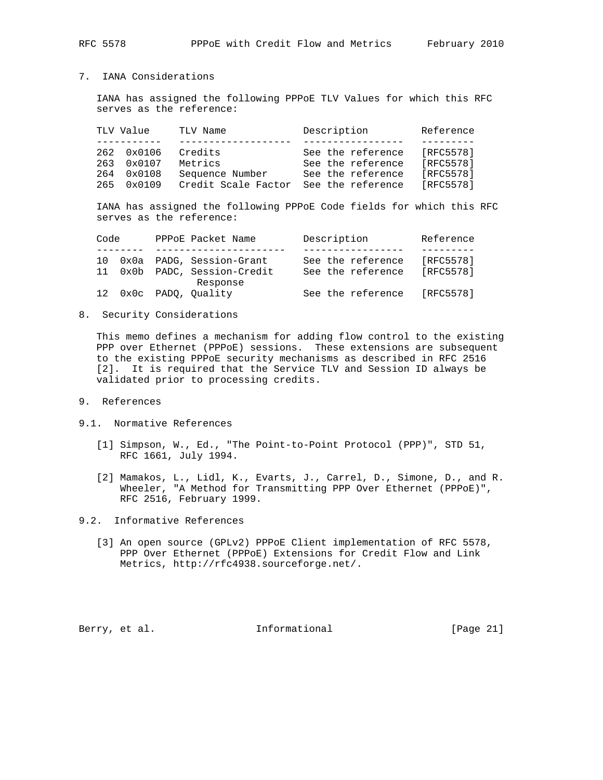# 7. IANA Considerations

 IANA has assigned the following PPPoE TLV Values for which this RFC serves as the reference:

|     | TLV Value       | TLV Name            | Description       | Reference |
|-----|-----------------|---------------------|-------------------|-----------|
|     |                 |                     |                   |           |
| 262 | 0x0106          | Credits             | See the reference | [RFC5578] |
| 263 | $0 \times 0107$ | Metrics             | See the reference | [RFC5578] |
| 264 | 0x0108          | Sequence Number     | See the reference | [RFC5578] |
| 265 | $0 \times 0109$ | Credit Scale Factor | See the reference | [RFC5578] |

 IANA has assigned the following PPPoE Code fields for which this RFC serves as the reference:

| Code |  | PPPOE Packet Name            |  | Description       | Reference |
|------|--|------------------------------|--|-------------------|-----------|
|      |  |                              |  |                   |           |
|      |  | 10 0x0a PADG, Session-Grant  |  | See the reference | [RFC5578] |
|      |  | 11 0x0b PADC, Session-Credit |  | See the reference | [RFC5578] |
|      |  | Response                     |  |                   |           |
|      |  | 12 0x0c PADO, Ouality        |  | See the reference | [RFC5578] |

8. Security Considerations

 This memo defines a mechanism for adding flow control to the existing PPP over Ethernet (PPPoE) sessions. These extensions are subsequent to the existing PPPoE security mechanisms as described in RFC 2516 [2]. It is required that the Service TLV and Session ID always be validated prior to processing credits.

- 9. References
- 9.1. Normative References
	- [1] Simpson, W., Ed., "The Point-to-Point Protocol (PPP)", STD 51, RFC 1661, July 1994.
	- [2] Mamakos, L., Lidl, K., Evarts, J., Carrel, D., Simone, D., and R. Wheeler, "A Method for Transmitting PPP Over Ethernet (PPPoE)", RFC 2516, February 1999.
- 9.2. Informative References
	- [3] An open source (GPLv2) PPPoE Client implementation of RFC 5578, PPP Over Ethernet (PPPoE) Extensions for Credit Flow and Link Metrics, http://rfc4938.sourceforge.net/.

Berry, et al. 1nformational [Page 21]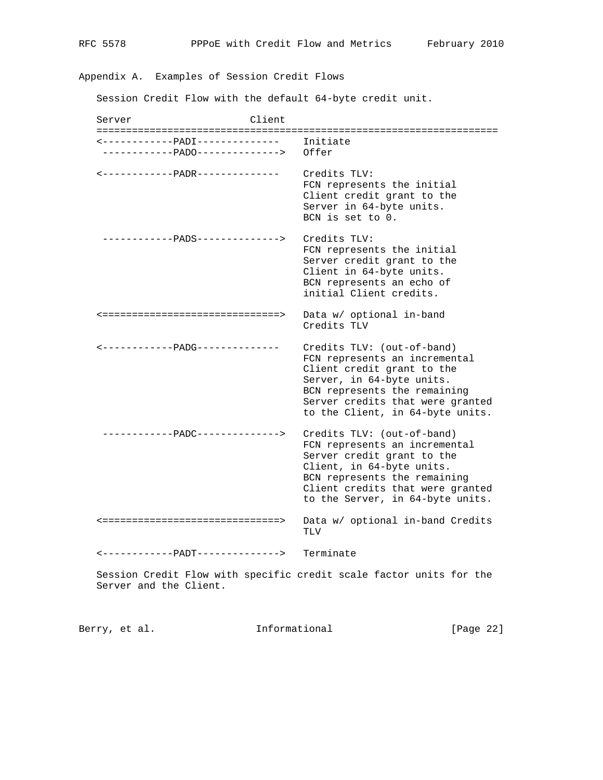Appendix A. Examples of Session Credit Flows

Session Credit Flow with the default 64-byte credit unit.

Server Client ==================================================================== <------------PADI-------------- Initiate ------------PADO--------------> Offer <------------PADR-------------- Credits TLV: FCN represents the initial Client credit grant to the Server in 64-byte units. BCN is set to 0. ------------PADS--------------> Credits TLV: FCN represents the initial Server credit grant to the Client in 64-byte units. BCN represents an echo of initial Client credits. <==============================> Data w/ optional in-band Credits TLV <------------PADG-------------- Credits TLV: (out-of-band) FCN represents an incremental Client credit grant to the Server, in 64-byte units. BCN represents the remaining Server credits that were granted to the Client, in 64-byte units. ------------PADC--------------> Credits TLV: (out-of-band) FCN represents an incremental Server credit grant to the Client, in 64-byte units. BCN represents the remaining Client credits that were granted to the Server, in 64-byte units. <==============================> Data w/ optional in-band Credits TLV <------------PADT--------------> Terminate Session Credit Flow with specific credit scale factor units for the

Server and the Client.

Berry, et al. 1nformational [Page 22]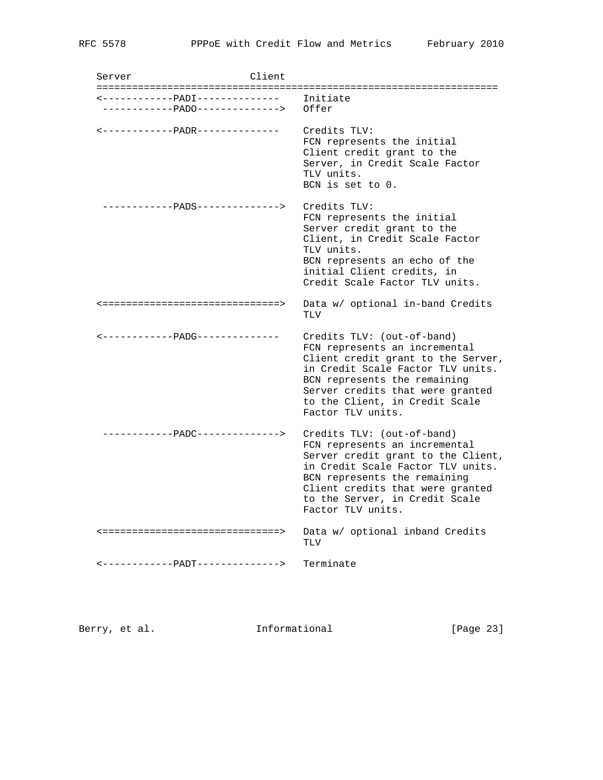Server Client ==================================================================== <------------PADI-------------- Initiate ------------PADO--------------> Offer <------------PADR-------------- Credits TLV: FCN represents the initial Client credit grant to the Server, in Credit Scale Factor TLV units. BCN is set to 0. ------------PADS--------------> Credits TLV: FCN represents the initial Server credit grant to the Client, in Credit Scale Factor TLV units. BCN represents an echo of the initial Client credits, in Credit Scale Factor TLV units. <==============================> Data w/ optional in-band Credits TLV <------------PADG-------------- Credits TLV: (out-of-band) FCN represents an incremental Client credit grant to the Server, in Credit Scale Factor TLV units. BCN represents the remaining Server credits that were granted to the Client, in Credit Scale Factor TLV units. ------------PADC--------------> Credits TLV: (out-of-band) FCN represents an incremental Server credit grant to the Client, in Credit Scale Factor TLV units. BCN represents the remaining Client credits that were granted to the Server, in Credit Scale Factor TLV units. <==============================> Data w/ optional inband Credits TLV <------------PADT--------------> Terminate

Berry, et al. Informational [Page 23]